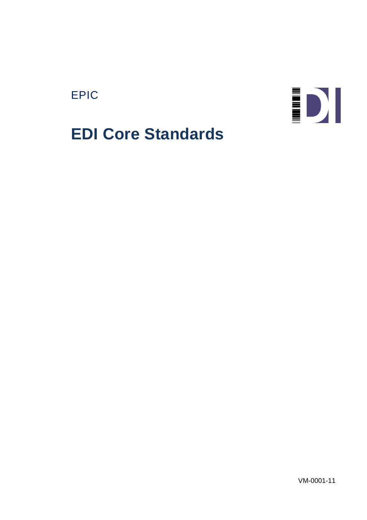# EPIC



# **EDI Core Standards**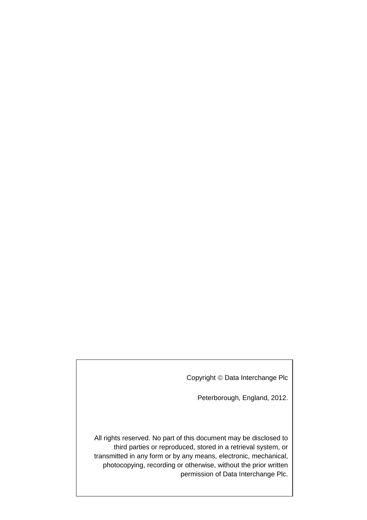Copyright © Data Interchange Plc

Peterborough, England, 2012.

All rights reserved. No part of this document may be disclosed to third parties or reproduced, stored in a retrieval system, or transmitted in any form or by any means, electronic, mechanical, photocopying, recording or otherwise, without the prior written permission of Data Interchange Plc.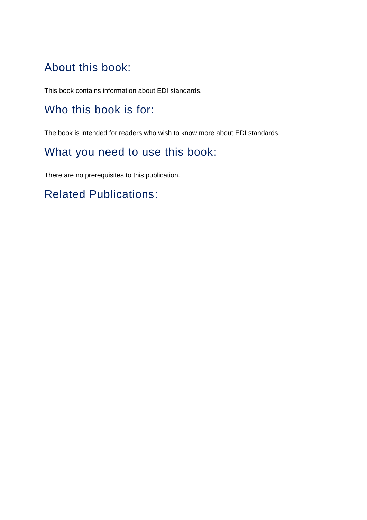# About this book:

This book contains information about EDI standards.

# Who this book is for:

The book is intended for readers who wish to know more about EDI standards.

# What you need to use this book:

There are no prerequisites to this publication.

# Related Publications: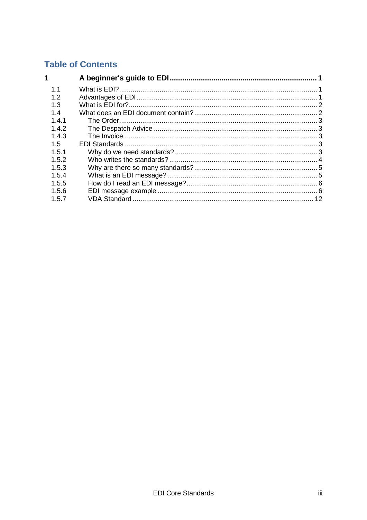### **Table of Contents**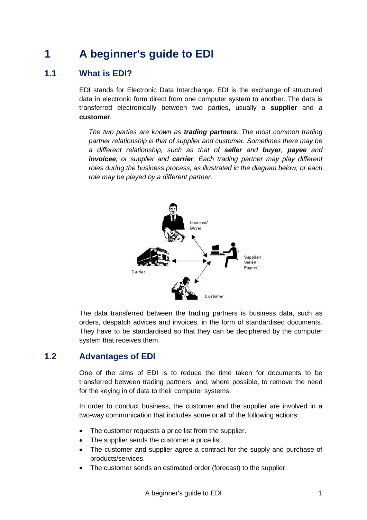# <span id="page-6-0"></span>**1 A beginner's guide to EDI**

### <span id="page-6-1"></span>**1.1 What is EDI?**

EDI stands for Electronic Data Interchange. EDI is the exchange of structured data in electronic form direct from one computer system to another. The data is transferred electronically between two parties, usually a **supplier** and a **customer**.

*The two parties are known as trading partners. The most common trading partner relationship is that of supplier and customer. Sometimes there may be a different relationship, such as that of seller and buyer, payee and invoicee, or supplier and carrier. Each trading partner may play different roles during the business process, as illustrated in the diagram below, or each role may be played by a different partner.*



The data transferred between the trading partners is business data, such as orders, despatch advices and invoices, in the form of standardised documents. They have to be standardised so that they can be deciphered by the computer system that receives them.

### <span id="page-6-2"></span>**1.2 Advantages of EDI**

One of the aims of EDI is to reduce the time taken for documents to be transferred between trading partners, and, where possible, to remove the need for the keying in of data to their computer systems.

In order to conduct business, the customer and the supplier are involved in a two-way communication that includes some or all of the following actions:

- The customer requests a price list from the supplier.
- The supplier sends the customer a price list.
- The customer and supplier agree a contract for the supply and purchase of products/services.
- The customer sends an estimated order (forecast) to the supplier.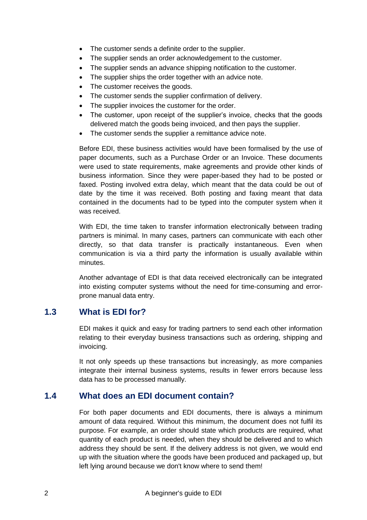- The customer sends a definite order to the supplier.
- The supplier sends an order acknowledgement to the customer.
- The supplier sends an advance shipping notification to the customer.
- The supplier ships the order together with an advice note.
- The customer receives the goods.
- The customer sends the supplier confirmation of delivery.
- The supplier invoices the customer for the order.
- The customer, upon receipt of the supplier's invoice, checks that the goods delivered match the goods being invoiced, and then pays the supplier.
- The customer sends the supplier a remittance advice note.

Before EDI, these business activities would have been formalised by the use of paper documents, such as a Purchase Order or an Invoice. These documents were used to state requirements, make agreements and provide other kinds of business information. Since they were paper-based they had to be posted or faxed. Posting involved extra delay, which meant that the data could be out of date by the time it was received. Both posting and faxing meant that data contained in the documents had to be typed into the computer system when it was received.

With EDI, the time taken to transfer information electronically between trading partners is minimal. In many cases, partners can communicate with each other directly, so that data transfer is practically instantaneous. Even when communication is via a third party the information is usually available within minutes.

Another advantage of EDI is that data received electronically can be integrated into existing computer systems without the need for time-consuming and errorprone manual data entry.

### <span id="page-7-0"></span>**1.3 What is EDI for?**

EDI makes it quick and easy for trading partners to send each other information relating to their everyday business transactions such as ordering, shipping and invoicing.

It not only speeds up these transactions but increasingly, as more companies integrate their internal business systems, results in fewer errors because less data has to be processed manually.

### <span id="page-7-1"></span>**1.4 What does an EDI document contain?**

For both paper documents and EDI documents, there is always a minimum amount of data required. Without this minimum, the document does not fulfil its purpose. For example, an order should state which products are required, what quantity of each product is needed, when they should be delivered and to which address they should be sent. If the delivery address is not given, we would end up with the situation where the goods have been produced and packaged up, but left lying around because we don't know where to send them!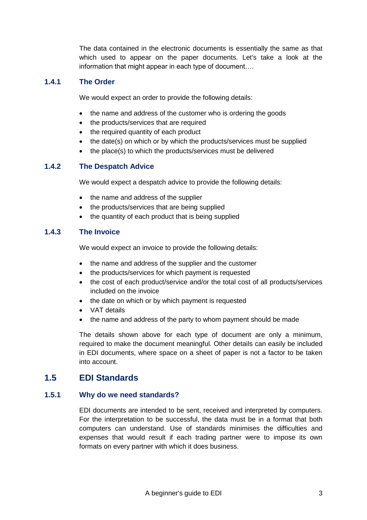The data contained in the electronic documents is essentially the same as that which used to appear on the paper documents. Let's take a look at the information that might appear in each type of document....

#### <span id="page-8-0"></span>**1.4.1 The Order**

We would expect an order to provide the following details:

- the name and address of the customer who is ordering the goods
- the products/services that are required
- the required quantity of each product
- the date(s) on which or by which the products/services must be supplied
- the place(s) to which the products/services must be delivered

#### <span id="page-8-1"></span>**1.4.2 The Despatch Advice**

We would expect a despatch advice to provide the following details:

- the name and address of the supplier
- the products/services that are being supplied
- the quantity of each product that is being supplied

#### <span id="page-8-2"></span>**1.4.3 The Invoice**

We would expect an invoice to provide the following details:

- the name and address of the supplier and the customer
- the products/services for which payment is requested
- the cost of each product/service and/or the total cost of all products/services included on the invoice
- the date on which or by which payment is requested
- VAT details
- the name and address of the party to whom payment should be made

The details shown above for each type of document are only a minimum, required to make the document meaningful. Other details can easily be included in EDI documents, where space on a sheet of paper is not a factor to be taken into account.

### <span id="page-8-3"></span>**1.5 EDI Standards**

#### <span id="page-8-4"></span>**1.5.1 Why do we need standards?**

EDI documents are intended to be sent, received and interpreted by computers. For the interpretation to be successful, the data must be in a format that both computers can understand. Use of standards minimises the difficulties and expenses that would result if each trading partner were to impose its own formats on every partner with which it does business.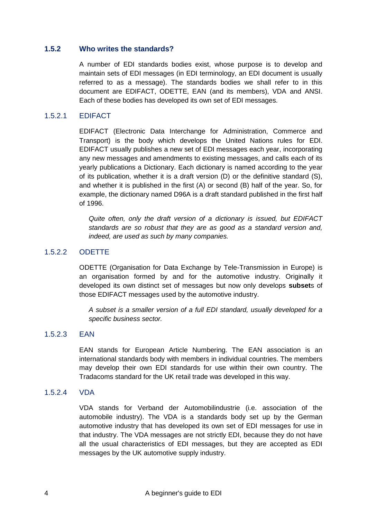#### <span id="page-9-0"></span>**1.5.2 Who writes the standards?**

A number of EDI standards bodies exist, whose purpose is to develop and maintain sets of EDI messages (in EDI terminology, an EDI document is usually referred to as a message). The standards bodies we shall refer to in this document are EDIFACT, ODETTE, EAN (and its members), VDA and ANSI. Each of these bodies has developed its own set of EDI messages.

#### 1.5.2.1 EDIFACT

EDIFACT (Electronic Data Interchange for Administration, Commerce and Transport) is the body which develops the United Nations rules for EDI. EDIFACT usually publishes a new set of EDI messages each year, incorporating any new messages and amendments to existing messages, and calls each of its yearly publications a Dictionary. Each dictionary is named according to the year of its publication, whether it is a draft version (D) or the definitive standard (S), and whether it is published in the first (A) or second (B) half of the year. So, for example, the dictionary named D96A is a draft standard published in the first half of 1996.

*Quite often, only the draft version of a dictionary is issued, but EDIFACT standards are so robust that they are as good as a standard version and, indeed, are used as such by many companies.*

#### 1.5.2.2 ODETTE

ODETTE (Organisation for Data Exchange by Tele-Transmission in Europe) is an organisation formed by and for the automotive industry. Originally it developed its own distinct set of messages but now only develops **subset**s of those EDIFACT messages used by the automotive industry.

*A subset is a smaller version of a full EDI standard, usually developed for a specific business sector.*

#### 1.5.2.3 EAN

EAN stands for European Article Numbering. The EAN association is an international standards body with members in individual countries. The members may develop their own EDI standards for use within their own country. The Tradacoms standard for the UK retail trade was developed in this way.

#### 1.5.2.4 VDA

VDA stands for Verband der Automobilindustrie (i.e. association of the automobile industry). The VDA is a standards body set up by the German automotive industry that has developed its own set of EDI messages for use in that industry. The VDA messages are not strictly EDI, because they do not have all the usual characteristics of EDI messages, but they are accepted as EDI messages by the UK automotive supply industry.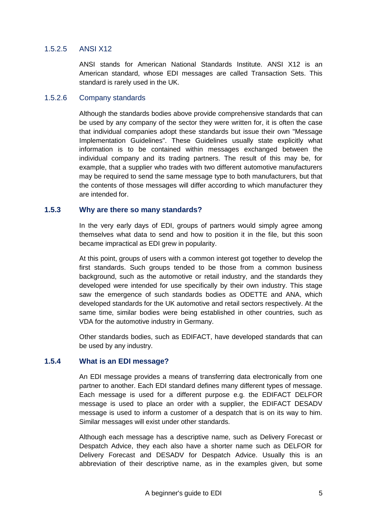#### 1.5.2.5 ANSI X12

ANSI stands for American National Standards Institute. ANSI X12 is an American standard, whose EDI messages are called Transaction Sets. This standard is rarely used in the UK.

#### 1.5.2.6 Company standards

Although the standards bodies above provide comprehensive standards that can be used by any company of the sector they were written for, it is often the case that individual companies adopt these standards but issue their own "Message Implementation Guidelines". These Guidelines usually state explicitly what information is to be contained within messages exchanged between the individual company and its trading partners. The result of this may be, for example, that a supplier who trades with two different automotive manufacturers may be required to send the same message type to both manufacturers, but that the contents of those messages will differ according to which manufacturer they are intended for.

#### <span id="page-10-0"></span>**1.5.3 Why are there so many standards?**

In the very early days of EDI, groups of partners would simply agree among themselves what data to send and how to position it in the file, but this soon became impractical as EDI grew in popularity.

At this point, groups of users with a common interest got together to develop the first standards. Such groups tended to be those from a common business background, such as the automotive or retail industry, and the standards they developed were intended for use specifically by their own industry. This stage saw the emergence of such standards bodies as ODETTE and ANA, which developed standards for the UK automotive and retail sectors respectively. At the same time, similar bodies were being established in other countries, such as VDA for the automotive industry in Germany.

Other standards bodies, such as EDIFACT, have developed standards that can be used by any industry.

#### <span id="page-10-1"></span>**1.5.4 What is an EDI message?**

An EDI message provides a means of transferring data electronically from one partner to another. Each EDI standard defines many different types of message. Each message is used for a different purpose e.g. the EDIFACT DELFOR message is used to place an order with a supplier, the EDIFACT DESADV message is used to inform a customer of a despatch that is on its way to him. Similar messages will exist under other standards.

Although each message has a descriptive name, such as Delivery Forecast or Despatch Advice, they each also have a shorter name such as DELFOR for Delivery Forecast and DESADV for Despatch Advice. Usually this is an abbreviation of their descriptive name, as in the examples given, but some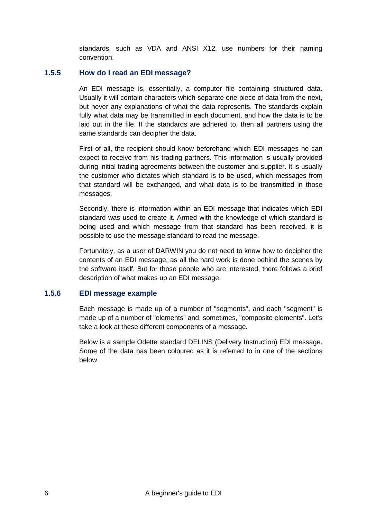standards, such as VDA and ANSI X12, use numbers for their naming convention.

#### <span id="page-11-0"></span>**1.5.5 How do I read an EDI message?**

An EDI message is, essentially, a computer file containing structured data. Usually it will contain characters which separate one piece of data from the next, but never any explanations of what the data represents. The standards explain fully what data may be transmitted in each document, and how the data is to be laid out in the file. If the standards are adhered to, then all partners using the same standards can decipher the data.

First of all, the recipient should know beforehand which EDI messages he can expect to receive from his trading partners. This information is usually provided during initial trading agreements between the customer and supplier. It is usually the customer who dictates which standard is to be used, which messages from that standard will be exchanged, and what data is to be transmitted in those messages.

Secondly, there is information within an EDI message that indicates which EDI standard was used to create it. Armed with the knowledge of which standard is being used and which message from that standard has been received, it is possible to use the message standard to read the message.

Fortunately, as a user of DARWIN you do not need to know how to decipher the contents of an EDI message, as all the hard work is done behind the scenes by the software itself. But for those people who are interested, there follows a brief description of what makes up an EDI message.

#### <span id="page-11-1"></span>**1.5.6 EDI message example**

Each message is made up of a number of "segments", and each "segment" is made up of a number of "elements" and, sometimes, "composite elements". Let's take a look at these different components of a message.

Below is a sample Odette standard DELINS (Delivery Instruction) EDI message. Some of the data has been coloured as it is referred to in one of the sections below.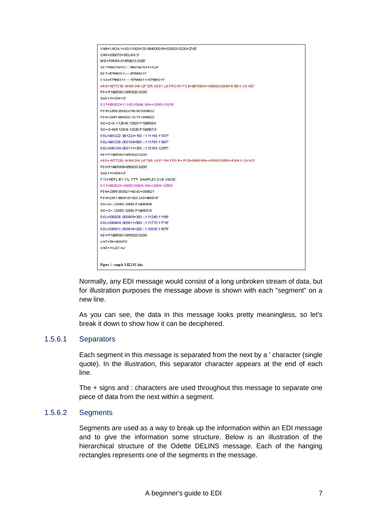

Normally, any EDI message would consist of a long unbroken stream of data, but for illustration purposes the message above is shown with each "segment" on a new line.

As you can see, the data in this message looks pretty meaningless, so let's break it down to show how it can be deciphered.

#### 1.5.6.1 Separators

Each segment in this message is separated from the next by a ' character (single quote). In the illustration, this separator character appears at the end of each line.

The + signs and : characters are used throughout this message to separate one piece of data from the next within a segment.

#### 1.5.6.2 Segments

Segments are used as a way to break up the information within an EDI message and to give the information some structure. Below is an illustration of the hierarchical structure of the Odette DELINS message. Each of the hanging rectangles represents one of the segments in the message.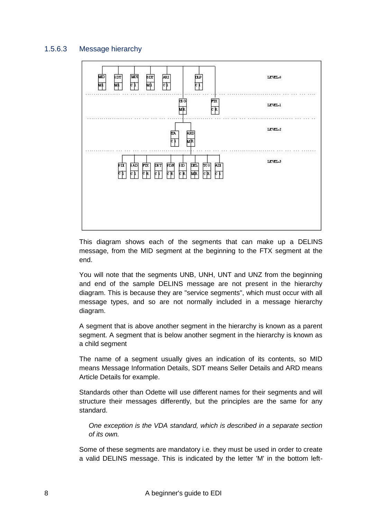#### 1.5.6.3 Message hierarchy



This diagram shows each of the segments that can make up a DELINS message, from the MID segment at the beginning to the FTX segment at the end.

You will note that the segments UNB, UNH, UNT and UNZ from the beginning and end of the sample DELINS message are not present in the hierarchy diagram. This is because they are "service segments", which must occur with all message types, and so are not normally included in a message hierarchy diagram.

A segment that is above another segment in the hierarchy is known as a parent segment. A segment that is below another segment in the hierarchy is known as a child segment

The name of a segment usually gives an indication of its contents, so MID means Message Information Details, SDT means Seller Details and ARD means Article Details for example.

Standards other than Odette will use different names for their segments and will structure their messages differently, but the principles are the same for any standard.

*One exception is the VDA standard, which is described in a separate section of its own.*

Some of these segments are mandatory i.e. they must be used in order to create a valid DELINS message. This is indicated by the letter 'M' in the bottom left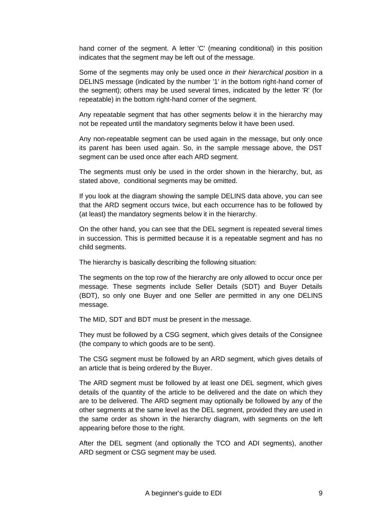hand corner of the segment. A letter 'C' (meaning conditional) in this position indicates that the segment may be left out of the message.

Some of the segments may only be used once *in their hierarchical position* in a DELINS message (indicated by the number '1' in the bottom right-hand corner of the segment); others may be used several times, indicated by the letter 'R' (for repeatable) in the bottom right-hand corner of the segment.

Any repeatable segment that has other segments below it in the hierarchy may not be repeated until the mandatory segments below it have been used.

Any non-repeatable segment can be used again in the message, but only once its parent has been used again. So, in the sample message above, the DST segment can be used once after each ARD segment.

The segments must only be used in the order shown in the hierarchy, but, as stated above, conditional segments may be omitted.

If you look at the diagram showing the sample DELINS data above, you can see that the ARD segment occurs twice, but each occurrence has to be followed by (at least) the mandatory segments below it in the hierarchy.

On the other hand, you can see that the DEL segment is repeated several times in succession. This is permitted because it is a repeatable segment and has no child segments.

The hierarchy is basically describing the following situation:

The segments on the top row of the hierarchy are only allowed to occur once per message. These segments include Seller Details (SDT) and Buyer Details (BDT), so only one Buyer and one Seller are permitted in any one DELINS message.

The MID, SDT and BDT must be present in the message.

They must be followed by a CSG segment, which gives details of the Consignee (the company to which goods are to be sent).

The CSG segment must be followed by an ARD segment, which gives details of an article that is being ordered by the Buyer.

The ARD segment must be followed by at least one DEL segment, which gives details of the quantity of the article to be delivered and the date on which they are to be delivered. The ARD segment may optionally be followed by any of the other segments at the same level as the DEL segment, provided they are used in the same order as shown in the hierarchy diagram, with segments on the left appearing before those to the right.

After the DEL segment (and optionally the TCO and ADI segments), another ARD segment or CSG segment may be used.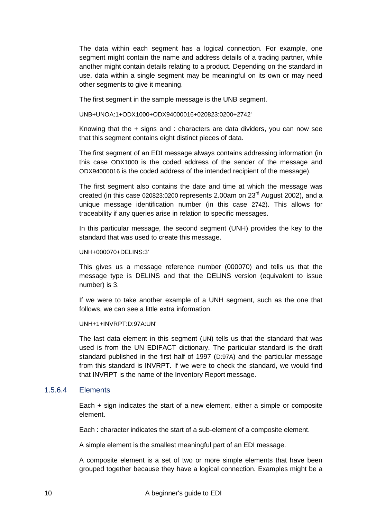The data within each segment has a logical connection. For example, one segment might contain the name and address details of a trading partner, while another might contain details relating to a product. Depending on the standard in use, data within a single segment may be meaningful on its own or may need other segments to give it meaning.

The first segment in the sample message is the UNB segment.

UNB+UNOA:1+ODX1000+ODX94000016+020823:0200+2742'

Knowing that the + signs and : characters are data dividers, you can now see that this segment contains eight distinct pieces of data.

The first segment of an EDI message always contains addressing information (in this case ODX1000 is the coded address of the sender of the message and ODX94000016 is the coded address of the intended recipient of the message).

The first segment also contains the date and time at which the message was created (in this case 020823:0200 represents 2.00am on  $23<sup>rd</sup>$  August 2002), and a unique message identification number (in this case 2742). This allows for traceability if any queries arise in relation to specific messages.

In this particular message, the second segment (UNH) provides the key to the standard that was used to create this message.

#### UNH+000070+DELINS:3'

This gives us a message reference number (000070) and tells us that the message type is DELINS and that the DELINS version (equivalent to issue number) is 3.

If we were to take another example of a UNH segment, such as the one that follows, we can see a little extra information.

UNH+1+INVRPT:D:97A:UN'

The last data element in this segment (UN) tells us that the standard that was used is from the UN EDIFACT dictionary. The particular standard is the draft standard published in the first half of 1997 (D:97A) and the particular message from this standard is INVRPT. If we were to check the standard, we would find that INVRPT is the name of the Inventory Report message.

#### 1.5.6.4 Elements

Each + sign indicates the start of a new element, either a simple or composite element.

Each : character indicates the start of a sub-element of a composite element.

A simple element is the smallest meaningful part of an EDI message.

A composite element is a set of two or more simple elements that have been grouped together because they have a logical connection. Examples might be a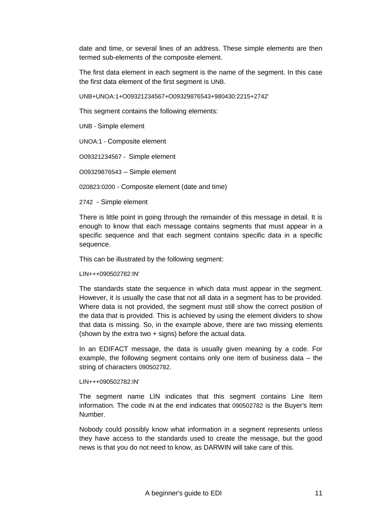date and time, or several lines of an address. These simple elements are then termed sub-elements of the composite element.

The first data element in each segment is the name of the segment. In this case the first data element of the first segment is UNB.

UNB+UNOA:1+O09321234567+O09329876543+980430:2215+2742'

This segment contains the following elements:

UNB - Simple element

UNOA:1 - Composite element

O09321234567 - Simple element

O09329876543 – Simple element

020823:0200 - Composite element (date and time)

2742 - Simple element

There is little point in going through the remainder of this message in detail. It is enough to know that each message contains segments that must appear in a specific sequence and that each segment contains specific data in a specific sequence.

This can be illustrated by the following segment:

LIN+++090502782:IN'

The standards state the sequence in which data must appear in the segment. However, it is usually the case that not all data in a segment has to be provided. Where data is not provided, the segment must still show the correct position of the data that is provided. This is achieved by using the element dividers to show that data is missing. So, in the example above, there are two missing elements (shown by the extra two + signs) before the actual data.

In an EDIFACT message, the data is usually given meaning by a code. For example, the following segment contains only one item of business data – the string of characters 090502782.

#### LIN+++090502782:IN'

The segment name LIN indicates that this segment contains Line Item information. The code IN at the end indicates that 090502782 is the Buyer's Item Number.

Nobody could possibly know what information in a segment represents unless they have access to the standards used to create the message, but the good news is that you do not need to know, as DARWIN will take care of this.